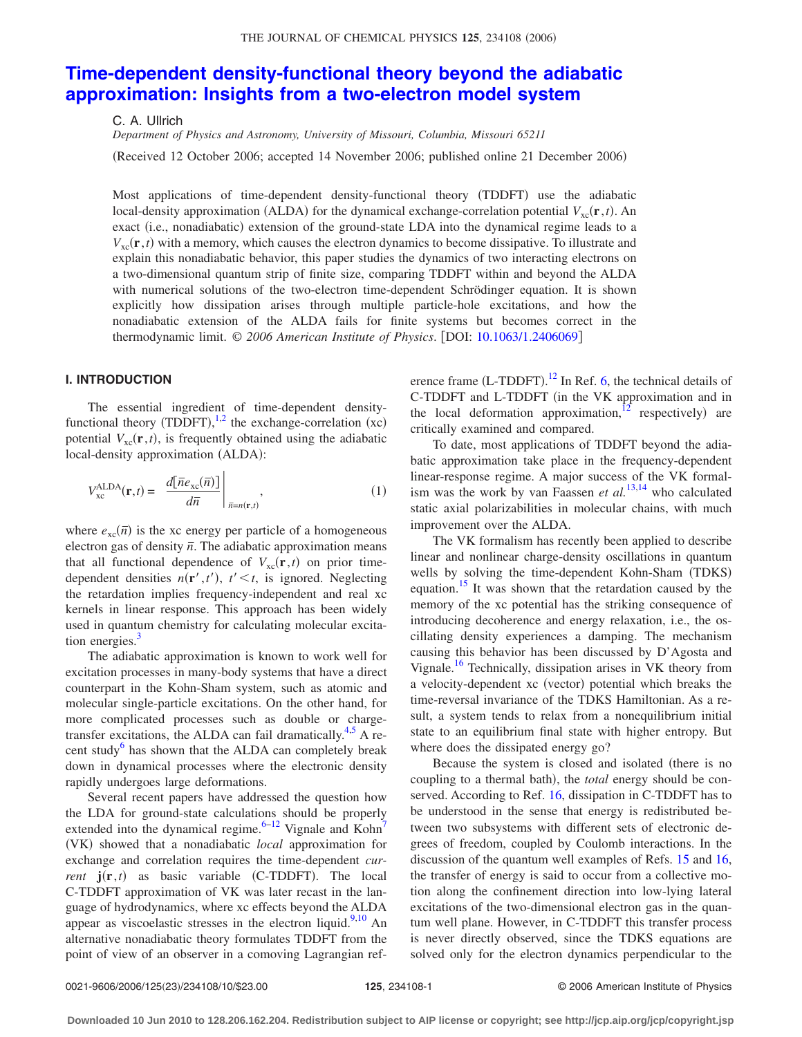#### THE JOURNAL OF CHEMICAL PHYSICS 125, 234108 (2006)

# **[Time-dependent density-functional theory beyond the adiabatic](http://dx.doi.org/10.1063/1.2406069) [approximation: Insights from a two-electron model system](http://dx.doi.org/10.1063/1.2406069)**

C. A. Ullrich

*Department of Physics and Astronomy, University of Missouri, Columbia, Missouri 65211*

(Received 12 October 2006; accepted 14 November 2006; published online 21 December 2006)

Most applications of time-dependent density-functional theory (TDDFT) use the adiabatic local-density approximation (ALDA) for the dynamical exchange-correlation potential  $V_{\text{xc}}(\mathbf{r},t)$ . An exact (i.e., nonadiabatic) extension of the ground-state LDA into the dynamical regime leads to a  $V_{\text{xc}}(\mathbf{r},t)$  with a memory, which causes the electron dynamics to become dissipative. To illustrate and explain this nonadiabatic behavior, this paper studies the dynamics of two interacting electrons on a two-dimensional quantum strip of finite size, comparing TDDFT within and beyond the ALDA with numerical solutions of the two-electron time-dependent Schrödinger equation. It is shown explicitly how dissipation arises through multiple particle-hole excitations, and how the nonadiabatic extension of the ALDA fails for finite systems but becomes correct in the thermodynamic limit. © 2006 American Institute of Physics. [DOI: [10.1063/1.2406069](http://dx.doi.org/10.1063/1.2406069)]

#### **I. INTRODUCTION**

The essential ingredient of time-dependent densityfunctional theory  $(TDDFT)$ ,<sup>[1,](#page-9-0)[2](#page-9-1)</sup> the exchange-correlation (xc) potential  $V_{\text{xc}}(\mathbf{r},t)$ , is frequently obtained using the adiabatic local-density approximation (ALDA):

$$
V_{\text{xc}}^{\text{ALDA}}(\mathbf{r},t) = \left. \frac{d[\bar{n}e_{\text{xc}}(\bar{n})]}{d\bar{n}} \right|_{\bar{n}=n(\mathbf{r},t)}, \tag{1}
$$

where  $e_{\text{xc}}(\vec{n})$  is the xc energy per particle of a homogeneous electron gas of density  $\bar{n}$ . The adiabatic approximation means that all functional dependence of  $V_{\text{xc}}(\mathbf{r},t)$  on prior timedependent densities  $n(\mathbf{r}', t')$ ,  $t' < t$ , is ignored. Neglecting the retardation implies frequency-independent and real xc kernels in linear response. This approach has been widely used in quantum chemistry for calculating molecular excitation energies. $3$ 

The adiabatic approximation is known to work well for excitation processes in many-body systems that have a direct counterpart in the Kohn-Sham system, such as atomic and molecular single-particle excitations. On the other hand, for more complicated processes such as double or chargetransfer excitations, the ALDA can fail dramatically. $4.5$  A recent study $6$  has shown that the ALDA can completely break down in dynamical processes where the electronic density rapidly undergoes large deformations.

Several recent papers have addressed the question how the LDA for ground-state calculations should be properly extended into the dynamical regime. $6-12$  Vignale and Kohn<sup>7</sup> (VK) showed that a nonadiabatic *local* approximation for exchange and correlation requires the time-dependent *current*  $\mathbf{j}(\mathbf{r},t)$  as basic variable (C-TDDFT). The local C-TDDFT approximation of VK was later recast in the language of hydrodynamics, where xc effects beyond the ALDA appear as viscoelastic stresses in the electron liquid.<sup>9[,10](#page-9-9)</sup> An alternative nonadiabatic theory formulates TDDFT from the point of view of an observer in a comoving Lagrangian ref-

erence frame  $(L$ -TDDFT).<sup>[12](#page-9-6)</sup> In Ref. [6,](#page-9-5) the technical details of C-TDDFT and L-TDDFT (in the VK approximation and in the local deformation approximation, $12$  respectively) are critically examined and compared.

To date, most applications of TDDFT beyond the adiabatic approximation take place in the frequency-dependent linear-response regime. A major success of the VK formal-ism was the work by van Faassen et al.<sup>[13](#page-9-10)[,14](#page-9-11)</sup> who calculated static axial polarizabilities in molecular chains, with much improvement over the ALDA.

The VK formalism has recently been applied to describe linear and nonlinear charge-density oscillations in quantum wells by solving the time-dependent Kohn-Sham (TDKS) equation.<sup>15</sup> It was shown that the retardation caused by the memory of the xc potential has the striking consequence of introducing decoherence and energy relaxation, i.e., the oscillating density experiences a damping. The mechanism causing this behavior has been discussed by D'Agosta and Vignale.<sup>16</sup> Technically, dissipation arises in VK theory from a velocity-dependent xc (vector) potential which breaks the time-reversal invariance of the TDKS Hamiltonian. As a result, a system tends to relax from a nonequilibrium initial state to an equilibrium final state with higher entropy. But where does the dissipated energy go?

Because the system is closed and isolated (there is no coupling to a thermal bath), the *total* energy should be conserved. According to Ref. [16,](#page-9-13) dissipation in C-TDDFT has to be understood in the sense that energy is redistributed between two subsystems with different sets of electronic degrees of freedom, coupled by Coulomb interactions. In the discussion of the quantum well examples of Refs. [15](#page-9-12) and [16,](#page-9-13) the transfer of energy is said to occur from a collective motion along the confinement direction into low-lying lateral excitations of the two-dimensional electron gas in the quantum well plane. However, in C-TDDFT this transfer process is never directly observed, since the TDKS equations are solved only for the electron dynamics perpendicular to the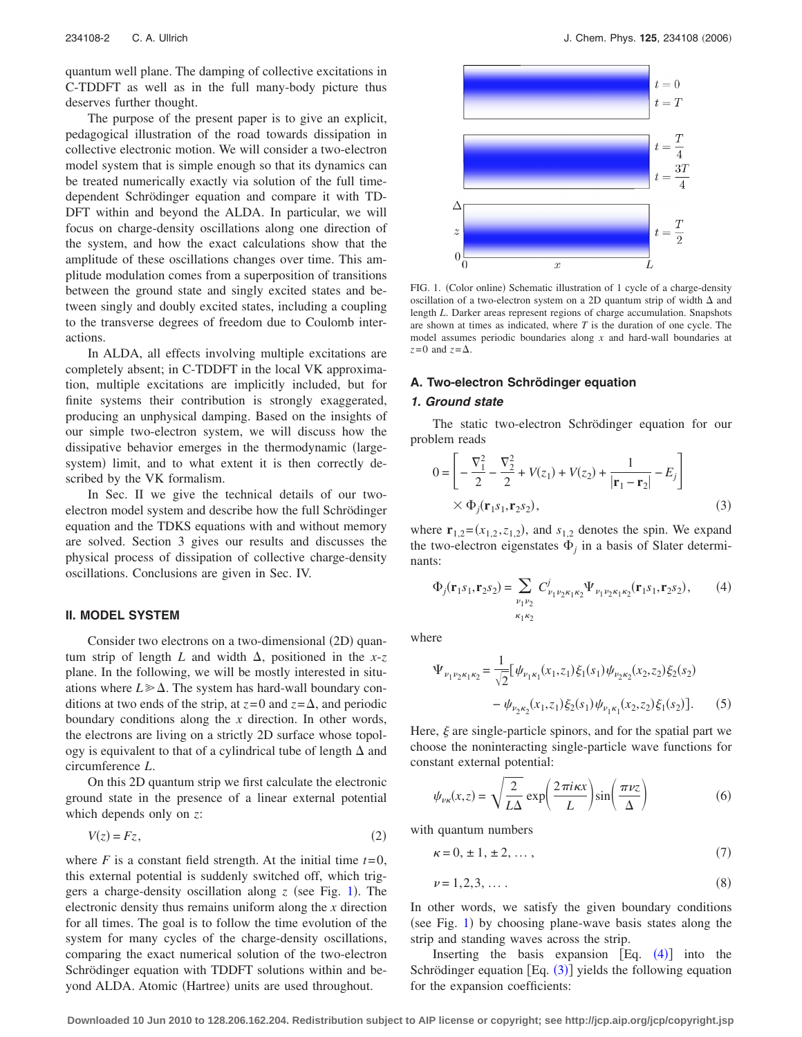quantum well plane. The damping of collective excitations in C-TDDFT as well as in the full many-body picture thus deserves further thought.

The purpose of the present paper is to give an explicit, pedagogical illustration of the road towards dissipation in collective electronic motion. We will consider a two-electron model system that is simple enough so that its dynamics can be treated numerically exactly via solution of the full timedependent Schrödinger equation and compare it with TD-DFT within and beyond the ALDA. In particular, we will focus on charge-density oscillations along one direction of the system, and how the exact calculations show that the amplitude of these oscillations changes over time. This amplitude modulation comes from a superposition of transitions between the ground state and singly excited states and between singly and doubly excited states, including a coupling to the transverse degrees of freedom due to Coulomb interactions.

In ALDA, all effects involving multiple excitations are completely absent; in C-TDDFT in the local VK approximation, multiple excitations are implicitly included, but for finite systems their contribution is strongly exaggerated, producing an unphysical damping. Based on the insights of our simple two-electron system, we will discuss how the dissipative behavior emerges in the thermodynamic largesystem) limit, and to what extent it is then correctly described by the VK formalism.

In Sec. II we give the technical details of our twoelectron model system and describe how the full Schrödinger equation and the TDKS equations with and without memory are solved. Section 3 gives our results and discusses the physical process of dissipation of collective charge-density oscillations. Conclusions are given in Sec. IV.

#### **II. MODEL SYSTEM**

Consider two electrons on a two-dimensional (2D) quantum strip of length *L* and width  $\Delta$ , positioned in the *x*-*z* plane. In the following, we will be mostly interested in situations where  $L \ge \Delta$ . The system has hard-wall boundary conditions at two ends of the strip, at  $z=0$  and  $z=\Delta$ , and periodic boundary conditions along the *x* direction. In other words, the electrons are living on a strictly 2D surface whose topology is equivalent to that of a cylindrical tube of length  $\Delta$  and circumference *L*.

On this 2D quantum strip we first calculate the electronic ground state in the presence of a linear external potential which depends only on *z*:

$$
V(z) = Fz,\tag{2}
$$

<span id="page-1-5"></span>where  $F$  is a constant field strength. At the initial time  $t=0$ , this external potential is suddenly switched off, which triggers a charge-density oscillation along  $z$  (see Fig. [1](#page-1-0)). The electronic density thus remains uniform along the *x* direction for all times. The goal is to follow the time evolution of the system for many cycles of the charge-density oscillations, comparing the exact numerical solution of the two-electron Schrödinger equation with TDDFT solutions within and beyond ALDA. Atomic (Hartree) units are used throughout.

<span id="page-1-0"></span>

FIG. 1. (Color online) Schematic illustration of 1 cycle of a charge-density oscillation of a two-electron system on a 2D quantum strip of width  $\Delta$  and length *L*. Darker areas represent regions of charge accumulation. Snapshots are shown at times as indicated, where *T* is the duration of one cycle. The model assumes periodic boundaries along *x* and hard-wall boundaries at  $z=0$  and  $z=\Delta$ .

#### **A. Two-electron Schrödinger equation**

## *1. Ground state*

The static two-electron Schrödinger equation for our problem reads

<span id="page-1-2"></span>
$$
0 = \left[ -\frac{\nabla_1^2}{2} - \frac{\nabla_2^2}{2} + V(z_1) + V(z_2) + \frac{1}{|\mathbf{r}_1 - \mathbf{r}_2|} - E_j \right] \times \Phi_j(\mathbf{r}_1 s_1, \mathbf{r}_2 s_2),
$$
\n(3)

where  $\mathbf{r}_{1,2} = (x_{1,2}, z_{1,2})$ , and  $s_{1,2}$  denotes the spin. We expand the two-electron eigenstates  $\Phi_i$  in a basis of Slater determinants:

<span id="page-1-1"></span>
$$
\Phi_j(\mathbf{r}_1 s_1, \mathbf{r}_2 s_2) = \sum_{\substack{\nu_1 \nu_2 \\ \kappa_1 \kappa_2}} C_{\nu_1 \nu_2 \kappa_1 \kappa_2}^j \Psi_{\nu_1 \nu_2 \kappa_1 \kappa_2}(\mathbf{r}_1 s_1, \mathbf{r}_2 s_2),\tag{4}
$$

where

$$
\Psi_{\nu_1\nu_2\kappa_1\kappa_2} = \frac{1}{\sqrt{2}} \Big[ \psi_{\nu_1\kappa_1}(x_1, z_1) \xi_1(s_1) \psi_{\nu_2\kappa_2}(x_2, z_2) \xi_2(s_2) - \psi_{\nu_2\kappa_2}(x_1, z_1) \xi_2(s_1) \psi_{\nu_1\kappa_1}(x_2, z_2) \xi_1(s_2) \Big].
$$
 (5)

Here,  $\xi$  are single-particle spinors, and for the spatial part we choose the noninteracting single-particle wave functions for constant external potential:

$$
\psi_{\nu\kappa}(x,z) = \sqrt{\frac{2}{L\Delta}} \exp\left(\frac{2\pi i\kappa x}{L}\right) \sin\left(\frac{\pi \nu z}{\Delta}\right) \tag{6}
$$

<span id="page-1-3"></span>with quantum numbers

$$
\kappa = 0, \pm 1, \pm 2, \dots,\tag{7}
$$

<span id="page-1-4"></span>
$$
\nu = 1, 2, 3, \dots \tag{8}
$$

In other words, we satisfy the given boundary conditions (see Fig.  $1$ ) by choosing plane-wave basis states along the strip and standing waves across the strip.

Inserting the basis expansion  $[Eq. (4)]$  $[Eq. (4)]$  $[Eq. (4)]$  into the Schrödinger equation  $[Eq. (3)]$  $[Eq. (3)]$  $[Eq. (3)]$  yields the following equation for the expansion coefficients:

**Downloaded 10 Jun 2010 to 128.206.162.204. Redistribution subject to AIP license or copyright; see http://jcp.aip.org/jcp/copyright.jsp**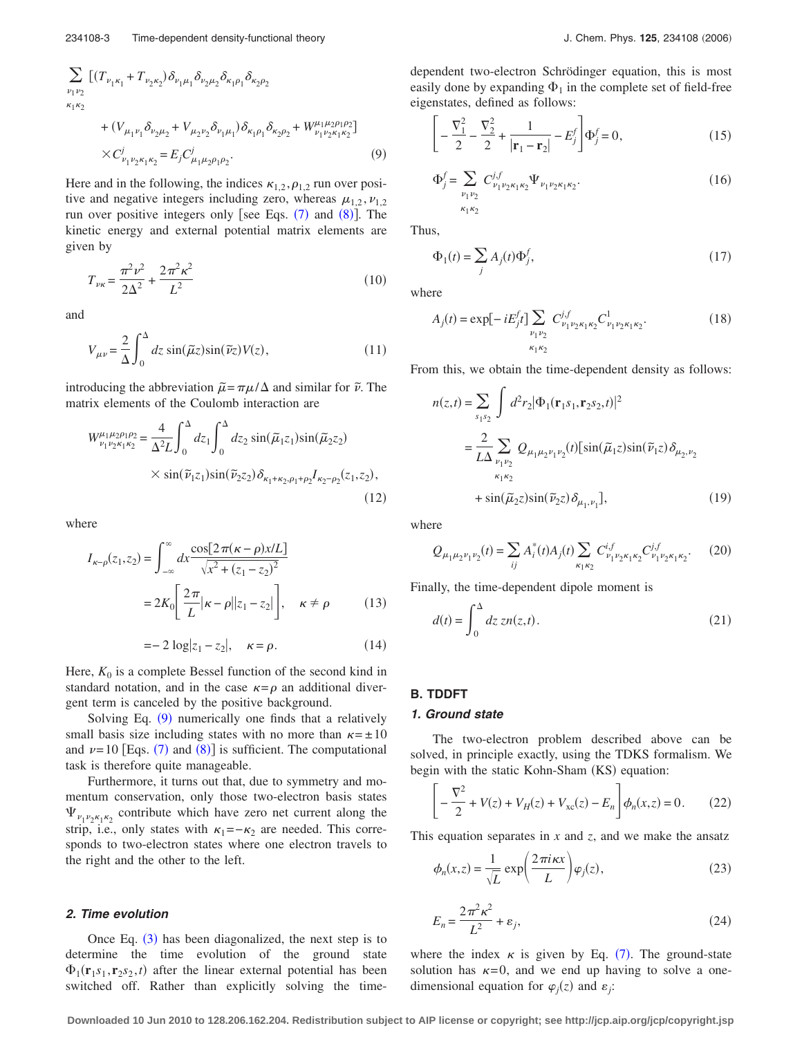<span id="page-2-0"></span>
$$
\sum_{\nu_1\nu_2} \left[ (T_{\nu_1\kappa_1} + T_{\nu_2\kappa_2}) \delta_{\nu_1\mu_1} \delta_{\nu_2\mu_2} \delta_{\kappa_1\rho_1} \delta_{\kappa_2\rho_2} \right. \\
\left. + (V_{\mu_1\nu_1} \delta_{\nu_2\mu_2} + V_{\mu_2\nu_2} \delta_{\nu_1\mu_1}) \delta_{\kappa_1\rho_1} \delta_{\kappa_2\rho_2} + W^{\mu_1\mu_2\rho_1\rho_2}_{\nu_1\nu_2\kappa_1\kappa_2} \right] \\
\times C^j_{\nu_1\nu_2\kappa_1\kappa_2} = E_j C^j_{\mu_1\mu_2\rho_1\rho_2}.\n\tag{9}
$$

Here and in the following, the indices  $\kappa_{1,2}, \rho_{1,2}$  run over positive and negative integers including zero, whereas  $\mu_1$ ,  $\nu_1$ , run over positive integers only [see Eqs.  $(7)$  $(7)$  $(7)$  and  $(8)$  $(8)$  $(8)$ ]. The kinetic energy and external potential matrix elements are given by

$$
T_{\nu\kappa} = \frac{\pi^2 \nu^2}{2\Delta^2} + \frac{2\pi^2 \kappa^2}{L^2}
$$
 (10)

<span id="page-2-1"></span>and

$$
V_{\mu\nu} = \frac{2}{\Delta} \int_0^{\Delta} dz \sin(\tilde{\mu}z) \sin(\tilde{\nu}z) V(z), \qquad (11)
$$

introducing the abbreviation  $\tilde{\mu} = \pi \mu / \Delta$  and similar for  $\tilde{\nu}$ . The matrix elements of the Coulomb interaction are

$$
W^{\mu_1 \mu_2 \rho_1 \rho_2}_{\nu_1 \nu_2 \kappa_1 \kappa_2} = \frac{4}{\Delta^2 L} \int_0^{\Delta} dz_1 \int_0^{\Delta} dz_2 \sin(\tilde{\mu}_1 z_1) \sin(\tilde{\mu}_2 z_2)
$$
  
 
$$
\times \sin(\tilde{\nu}_1 z_1) \sin(\tilde{\nu}_2 z_2) \delta_{\kappa_1 + \kappa_2, \rho_1 + \rho_2} I_{\kappa_2 - \rho_2}(z_1, z_2),
$$
 (12)

where

$$
I_{\kappa-\rho}(z_1, z_2) = \int_{-\infty}^{\infty} dx \frac{\cos[2\pi(\kappa-\rho)x/L]}{\sqrt{x^2 + (z_1 - z_2)^2}}
$$
  
=  $2K_0 \left[ \frac{2\pi}{L} |\kappa-\rho||z_1 - z_2| \right], \quad \kappa \neq \rho$  (13)

$$
=-2\log|z_1 - z_2|, \quad \kappa = \rho. \tag{14}
$$

Here,  $K_0$  is a complete Bessel function of the second kind in standard notation, and in the case  $\kappa = \rho$  an additional divergent term is canceled by the positive background.

Solving Eq. ([9](#page-2-0)) numerically one finds that a relatively small basis size including states with no more than  $\kappa = \pm 10$ and  $\nu = 10$  [Eqs. ([7](#page-1-3)) and ([8](#page-1-4))] is sufficient. The computational task is therefore quite manageable.

Furthermore, it turns out that, due to symmetry and momentum conservation, only those two-electron basis states  $\Psi_{\nu_1\nu_2\kappa_1\kappa_2}$  contribute which have zero net current along the strip, i.e., only states with  $\kappa_1=-\kappa_2$  are needed. This corresponds to two-electron states where one electron travels to the right and the other to the left.

## *2. Time evolution*

Once Eq.  $(3)$  $(3)$  $(3)$  has been diagonalized, the next step is to determine the time evolution of the ground state  $\Phi_1(\mathbf{r}_1 s_1, \mathbf{r}_2 s_2, t)$  after the linear external potential has been switched off. Rather than explicitly solving the timedependent two-electron Schrödinger equation, this is most easily done by expanding  $\Phi_1$  in the complete set of field-free eigenstates, defined as follows:

$$
\left[ -\frac{\nabla_1^2}{2} - \frac{\nabla_2^2}{2} + \frac{1}{|\mathbf{r}_1 - \mathbf{r}_2|} - E_j^f \right] \Phi_j^f = 0,
$$
\n(15)

$$
\Phi_j^f = \sum_{\substack{\nu_1 \nu_2 \\ \kappa_1 \kappa_2}} C_{\nu_1 \nu_2 \kappa_1 \kappa_2}^{j,f} \Psi_{\nu_1 \nu_2 \kappa_1 \kappa_2}.
$$
\n(16)

<span id="page-2-4"></span>Thus,

 $(9)$ 

$$
\Phi_1(t) = \sum_j A_j(t)\Phi_j^f,\tag{17}
$$

<span id="page-2-5"></span>where

$$
A_j(t) = \exp[-iE_j^f t] \sum_{\substack{\nu_1 \nu_2 \\ \kappa_1 \kappa_2}} C_{\nu_1 \nu_2 \kappa_1 \kappa_2}^{j, f} C_{\nu_1 \nu_2 \kappa_1 \kappa_2}^1.
$$
 (18)

<span id="page-2-3"></span>From this, we obtain the time-dependent density as follows:

$$
n(z,t) = \sum_{s_1 s_2} \int d^2 r_2 |\Phi_1(\mathbf{r}_1 s_1, \mathbf{r}_2 s_2, t)|^2
$$
  
= 
$$
\frac{2}{L\Delta} \sum_{\substack{\nu_1 \nu_2 \\ \kappa_1 \kappa_2}} Q_{\mu_1 \mu_2 \nu_1 \nu_2}(t) [\sin(\tilde{\mu}_1 z) \sin(\tilde{\nu}_1 z) \delta_{\mu_2, \nu_2}
$$
  
+ 
$$
\sin(\tilde{\mu}_2 z) \sin(\tilde{\nu}_2 z) \delta_{\mu_1, \nu_1}],
$$
 (19)

where

$$
Q_{\mu_1 \mu_2 \nu_1 \nu_2}(t) = \sum_{ij} A_i^*(t) A_j(t) \sum_{\kappa_1 \kappa_2} C_{\nu_1 \nu_2 \kappa_1 \kappa_2}^{i,f} C_{\nu_1 \nu_2 \kappa_1 \kappa_2}^{j,f}.
$$
 (20)

<span id="page-2-2"></span>Finally, the time-dependent dipole moment is

$$
d(t) = \int_0^{\Delta} dz \, z n(z, t). \tag{21}
$$

## **B. TDDFT**

#### *1. Ground state*

The two-electron problem described above can be solved, in principle exactly, using the TDKS formalism. We begin with the static Kohn-Sham (KS) equation:

$$
\left[ -\frac{\nabla^2}{2} + V(z) + V_H(z) + V_{xc}(z) - E_n \right] \phi_n(x, z) = 0. \tag{22}
$$

This equation separates in *x* and *z*, and we make the ansatz

$$
\phi_n(x,z) = \frac{1}{\sqrt{L}} \exp\left(\frac{2\pi i \kappa x}{L}\right) \varphi_j(z),\tag{23}
$$

$$
E_n = \frac{2\pi^2 \kappa^2}{L^2} + \varepsilon_j,
$$
\n(24)

where the index  $\kappa$  is given by Eq. ([7](#page-1-3)). The ground-state solution has  $\kappa = 0$ , and we end up having to solve a onedimensional equation for  $\varphi_j(z)$  and  $\varepsilon_j$ :

**Downloaded 10 Jun 2010 to 128.206.162.204. Redistribution subject to AIP license or copyright; see http://jcp.aip.org/jcp/copyright.jsp**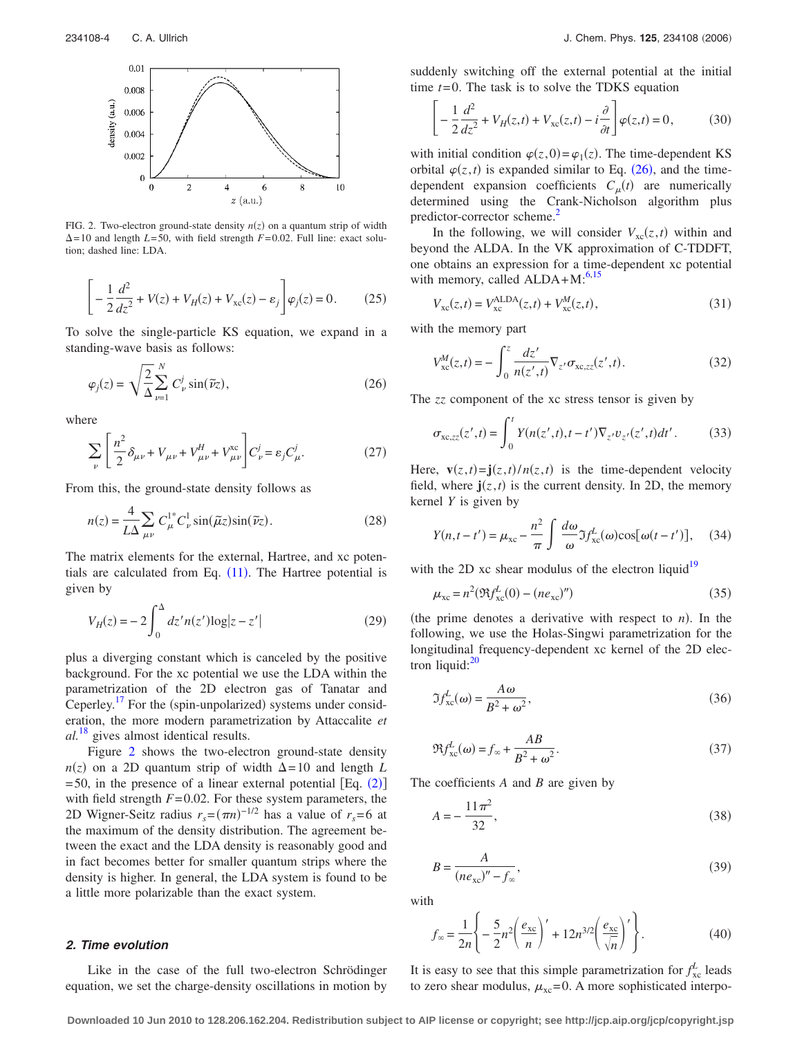<span id="page-3-0"></span>

FIG. 2. Two-electron ground-state density  $n(z)$  on a quantum strip of width  $\Delta = 10$  and length  $L = 50$ , with field strength  $F = 0.02$ . Full line: exact solution; dashed line: LDA.

$$
\left[ -\frac{1}{2}\frac{d^2}{dz^2} + V(z) + V_H(z) + V_{xc}(z) - \varepsilon_j \right] \varphi_j(z) = 0.
$$
 (25)

To solve the single-particle KS equation, we expand in a standing-wave basis as follows:

<span id="page-3-1"></span>
$$
\varphi_j(z) = \sqrt{\frac{2}{\Delta}} \sum_{\nu=1}^N C_{\nu}^j \sin(\tilde{\nu}z), \qquad (26)
$$

where

$$
\sum_{\nu} \left[ \frac{n^2}{2} \delta_{\mu\nu} + V_{\mu\nu} + V_{\mu\nu}^H + V_{\mu\nu}^{\text{xc}} \right] C_{\nu}^j = \varepsilon_j C_{\mu}^j. \tag{27}
$$

From this, the ground-state density follows as

$$
n(z) = \frac{4}{L\Delta} \sum_{\mu\nu} C_{\mu}^{1*} C_{\nu}^{1} \sin(\tilde{\mu}z) \sin(\tilde{\nu}z).
$$
 (28)

The matrix elements for the external, Hartree, and xc potentials are calculated from Eq.  $(11)$  $(11)$  $(11)$ . The Hartree potential is given by

$$
V_H(z) = -2 \int_0^{\Delta} dz' n(z') \log|z - z'|
$$
 (29)

plus a diverging constant which is canceled by the positive background. For the xc potential we use the LDA within the parametrization of the 2D electron gas of Tanatar and Ceperley.<sup>17</sup> For the (spin-unpolarized) systems under consideration, the more modern parametrization by Attaccalite *et al.*[18](#page-9-15) gives almost identical results.

Figure [2](#page-3-0) shows the two-electron ground-state density  $n(z)$  on a 2D quantum strip of width  $\Delta = 10$  and length *L*  $= 50$ , in the presence of a linear external potential [Eq.  $(2)$  $(2)$  $(2)$ ] with field strength  $F = 0.02$ . For these system parameters, the 2D Wigner-Seitz radius  $r_s = (\pi n)^{-1/2}$  has a value of  $r_s = 6$  at the maximum of the density distribution. The agreement between the exact and the LDA density is reasonably good and in fact becomes better for smaller quantum strips where the density is higher. In general, the LDA system is found to be a little more polarizable than the exact system.

#### *2. Time evolution*

Like in the case of the full two-electron Schrödinger equation, we set the charge-density oscillations in motion by

suddenly switching off the external potential at the initial time  $t = 0$ . The task is to solve the TDKS equation

$$
\left[-\frac{1}{2}\frac{d^2}{dz^2} + V_H(z,t) + V_{xc}(z,t) - i\frac{\partial}{\partial t}\right]\varphi(z,t) = 0,\tag{30}
$$

with initial condition  $\varphi(z, 0) = \varphi_1(z)$ . The time-dependent KS orbital  $\varphi(z, t)$  is expanded similar to Eq. ([26](#page-3-1)), and the timedependent expansion coefficients  $C_{\mu}(t)$  are numerically determined using the Crank-Nicholson algorithm plus predictor-corrector scheme.<sup>2</sup>

In the following, we will consider  $V_{\text{xc}}(z, t)$  within and beyond the ALDA. In the VK approximation of C-TDDFT, one obtains an expression for a time-dependent xc potential with memory, called  $ALDA+M$ :<sup>6,[15](#page-9-12)</sup>

<span id="page-3-4"></span>
$$
V_{\rm xc}(z,t) = V_{\rm xc}^{\rm ALDA}(z,t) + V_{\rm xc}^M(z,t),
$$
\n(31)

<span id="page-3-5"></span>with the memory part

$$
V_{\text{xc}}^{M}(z,t) = -\int_{0}^{z} \frac{dz'}{n(z',t)} \nabla_{z'} \sigma_{\text{xc},zz}(z',t). \tag{32}
$$

<span id="page-3-3"></span>The *zz* component of the xc stress tensor is given by

$$
\sigma_{\text{xc},zz}(z',t) = \int_0^t Y(n(z',t),t-t')\nabla_{z'}v_{z'}(z',t)dt'.
$$
 (33)

Here,  $\mathbf{v}(z,t) = \mathbf{j}(z,t)/n(z,t)$  is the time-dependent velocity field, where  $\mathbf{j}(z, t)$  is the current density. In 2D, the memory kernel *Y* is given by

$$
Y(n, t - t') = \mu_{\rm xc} - \frac{n^2}{\pi} \int \frac{d\omega}{\omega} \Im f_{\rm xc}^L(\omega) \cos[\omega(t - t')], \quad (34)
$$

with the 2D xc shear modulus of the electron liquid<sup>19</sup>

$$
\mu_{\rm xc} = n^2 (\Re f_{\rm xc}^L(0) - (ne_{\rm xc})'') \tag{35}
$$

(the prime denotes a derivative with respect to  $n$ ). In the following, we use the Holas-Singwi parametrization for the longitudinal frequency-dependent xc kernel of the 2D electron liquid: $^{20}$ 

<span id="page-3-2"></span>
$$
\Im f_{\text{xc}}^L(\omega) = \frac{A\omega}{B^2 + \omega^2},\tag{36}
$$

$$
\Re f_{\rm xc}^L(\omega) = f_{\infty} + \frac{AB}{B^2 + \omega^2}.
$$
\n(37)

The coefficients *A* and *B* are given by

$$
A = -\frac{11\pi^2}{32},\tag{38}
$$

$$
B = \frac{A}{(ne_{\text{xc}})'' - f_{\infty}},\tag{39}
$$

with

$$
f_{\infty} = \frac{1}{2n} \left\{ -\frac{5}{2} n^2 \left( \frac{e_{\text{xc}}}{n} \right)' + 12n^{3/2} \left( \frac{e_{\text{xc}}}{\sqrt{n}} \right)' \right\}.
$$
 (40)

It is easy to see that this simple parametrization for  $f_{\text{xc}}^L$  leads to zero shear modulus,  $\mu_{\text{xc}} = 0$ . A more sophisticated interpo-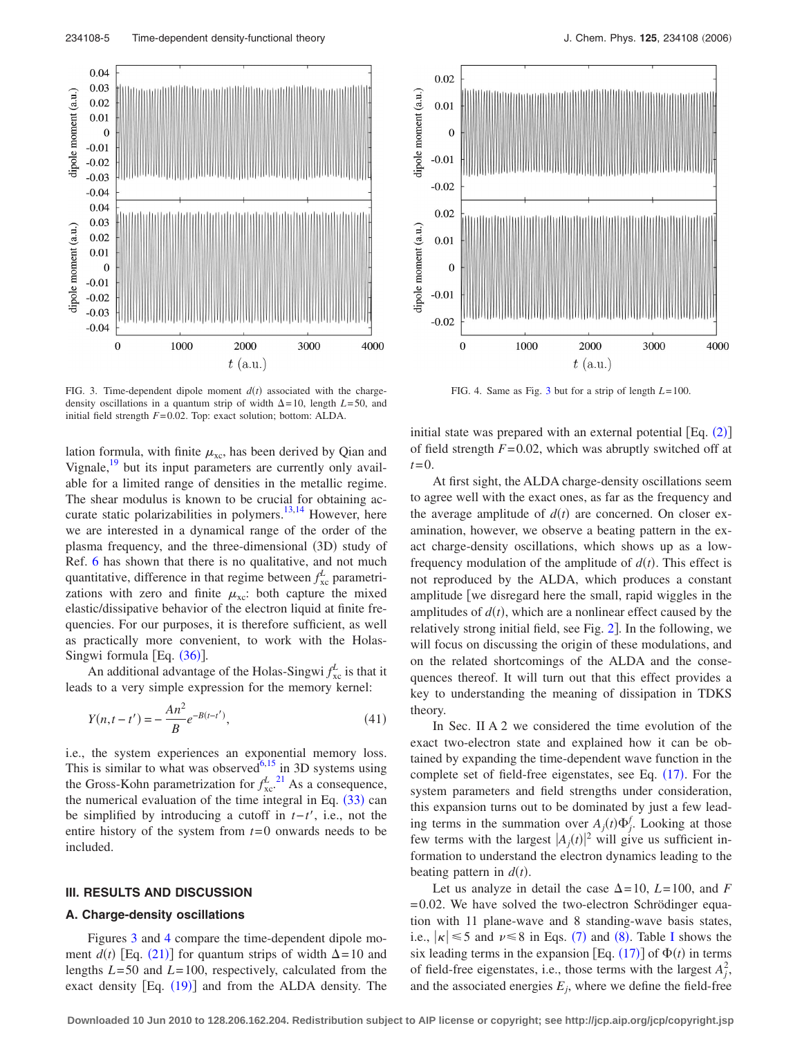<span id="page-4-0"></span>

J. Chem. Phys. 125, 234108 (2006)

<span id="page-4-1"></span>

FIG. 3. Time-dependent dipole moment  $d(t)$  associated with the chargedensity oscillations in a quantum strip of width  $\Delta = 10$ , length  $L = 50$ , and initial field strength *F*= 0.02. Top: exact solution; bottom: ALDA.

lation formula, with finite  $\mu_{\text{xc}}$ , has been derived by Qian and Vignale,<sup>19</sup> but its input parameters are currently only available for a limited range of densities in the metallic regime. The shear modulus is known to be crucial for obtaining ac-curate static polarizabilities in polymers.<sup>13[,14](#page-9-11)</sup> However, here we are interested in a dynamical range of the order of the plasma frequency, and the three-dimensional (3D) study of Ref. [6](#page-9-5) has shown that there is no qualitative, and not much quantitative, difference in that regime between  $f_{\text{xc}}^L$  parametrizations with zero and finite  $\mu_{\text{xc}}$ : both capture the mixed elastic/dissipative behavior of the electron liquid at finite frequencies. For our purposes, it is therefore sufficient, as well as practically more convenient, to work with the Holas-Singwi formula [Eq. ([36](#page-3-2))].

An additional advantage of the Holas-Singwi  $f_{\text{xc}}^L$  is that it leads to a very simple expression for the memory kernel:

$$
Y(n, t - t') = -\frac{An^2}{B}e^{-B(t - t')},
$$
\n(41)

i.e., the system experiences an exponential memory loss. This is similar to what was observed $6,15$  $6,15$  in 3D systems using the Gross-Kohn parametrization for  $f_{\text{xc}}^L$ .<sup>[21](#page-9-18)</sup> As a consequence, the numerical evaluation of the time integral in Eq.  $(33)$  $(33)$  $(33)$  can be simplified by introducing a cutoff in *t*−*t*, i.e., not the entire history of the system from *t*= 0 onwards needs to be included.

## **III. RESULTS AND DISCUSSION**

#### **A. Charge-density oscillations**

Figures [3](#page-4-0) and [4](#page-4-1) compare the time-dependent dipole moment  $d(t)$  [Eq. ([21](#page-2-2))] for quantum strips of width  $\Delta = 10$  and lengths *L*= 50 and *L*= 100, respectively, calculated from the exact density  $[Eq. (19)]$  $[Eq. (19)]$  $[Eq. (19)]$  and from the ALDA density. The

FIG. 4. Same as Fig. [3](#page-4-0) but for a strip of length *L*= 100.

initial state was prepared with an external potential  $[Eq. (2)]$  $[Eq. (2)]$  $[Eq. (2)]$ of field strength *F*= 0.02, which was abruptly switched off at  $t = 0$ .

At first sight, the ALDA charge-density oscillations seem to agree well with the exact ones, as far as the frequency and the average amplitude of  $d(t)$  are concerned. On closer examination, however, we observe a beating pattern in the exact charge-density oscillations, which shows up as a lowfrequency modulation of the amplitude of  $d(t)$ . This effect is not reproduced by the ALDA, which produces a constant amplitude [we disregard here the small, rapid wiggles in the amplitudes of  $d(t)$ , which are a nonlinear effect caused by the relatively strong initial field, see Fig.  $2$ . In the following, we will focus on discussing the origin of these modulations, and on the related shortcomings of the ALDA and the consequences thereof. It will turn out that this effect provides a key to understanding the meaning of dissipation in TDKS theory.

In Sec. II A 2 we considered the time evolution of the exact two-electron state and explained how it can be obtained by expanding the time-dependent wave function in the complete set of field-free eigenstates, see Eq.  $(17)$  $(17)$  $(17)$ . For the system parameters and field strengths under consideration, this expansion turns out to be dominated by just a few leading terms in the summation over  $A_j(t)\Phi_j^f$ . Looking at those few terms with the largest  $|A_j(t)|^2$  will give us sufficient information to understand the electron dynamics leading to the beating pattern in  $d(t)$ .

Let us analyze in detail the case  $\Delta = 10$ , *L*=100, and *F*  $= 0.02$ . We have solved the two-electron Schrödinger equation with 11 plane-wave and 8 standing-wave basis states, i.e.,  $|\kappa| \le 5$  and  $\nu \le 8$  $\nu \le 8$  in Eqs. ([7](#page-1-3)) and (8). Table [I](#page-5-0) shows the six leading terms in the expansion [Eq.  $(17)$  $(17)$  $(17)$ ] of  $\Phi(t)$  in terms of field-free eigenstates, i.e., those terms with the largest  $A_j^2$ , and the associated energies  $E_i$ , where we define the field-free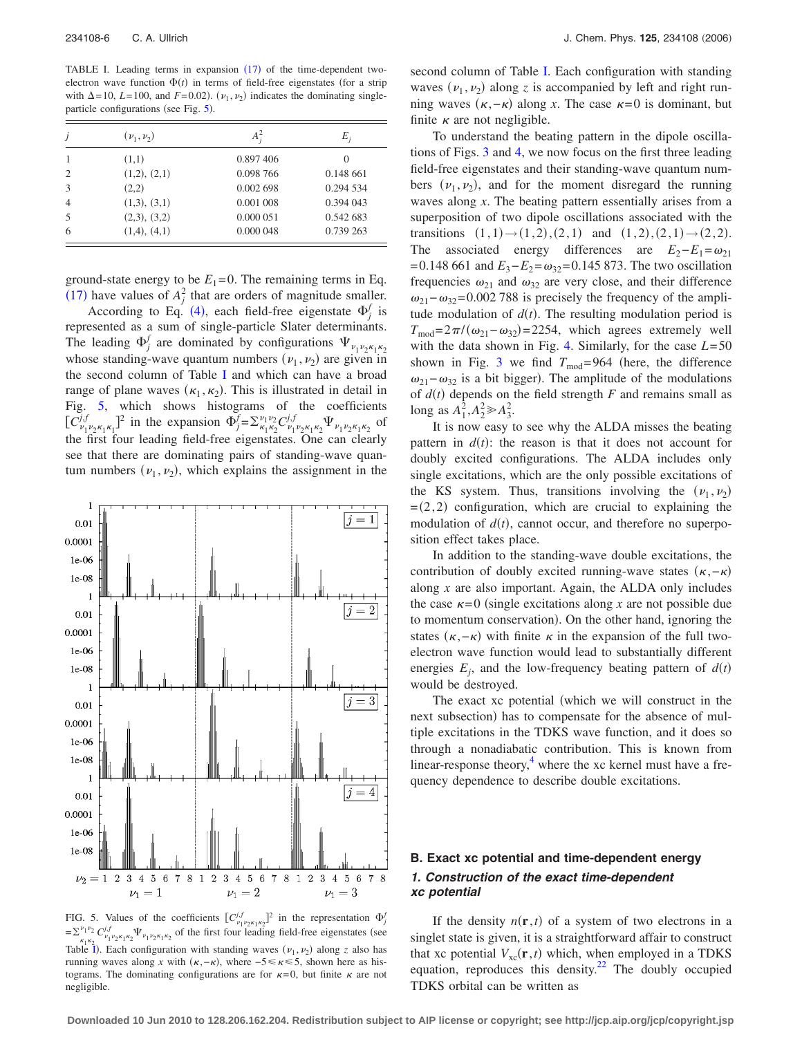<span id="page-5-0"></span>TABLE I. Leading terms in expansion ([17](#page-2-4)) of the time-dependent twoelectron wave function  $\Phi(t)$  in terms of field-free eigenstates (for a strip with  $\Delta = 10$ , *L*=100, and *F*=0.02). ( $\nu_1, \nu_2$ ) indicates the dominating single-particle configurations (see Fig. [5](#page-5-1)).

| j              | $(\nu_1, \nu_2)$  | $A_i^2$   | $E_i$     |
|----------------|-------------------|-----------|-----------|
|                | (1,1)             | 0.897 406 | 0         |
| $\overline{2}$ | (1,2), (2,1)      | 0.098 766 | 0.148 661 |
| 3              | (2,2)             | 0.002 698 | 0.294 534 |
| $\overline{4}$ | (1,3), (3,1)      | 0.001 008 | 0.394 043 |
| 5              | (2,3), (3,2)      | 0.000 051 | 0.542 683 |
| 6              | $(1,4)$ , $(4,1)$ | 0.000 048 | 0.739 263 |

ground-state energy to be  $E_1 = 0$ . The remaining terms in Eq.  $(17)$  $(17)$  $(17)$  have values of  $A_j^2$  that are orders of magnitude smaller.

According to Eq. ([4](#page-1-1)), each field-free eigenstate  $\Phi_j^f$  is represented as a sum of single-particle Slater determinants. The leading  $\Phi^f_j$  are dominated by configurations  $\Psi_{\nu_1\nu_2\kappa_1\kappa_2}$ whose standing-wave quantum numbers  $(\nu_1, \nu_2)$  are given in the second column of Table [I](#page-5-0) and which can have a broad range of plane waves  $(\kappa_1, \kappa_2)$ . This is illustrated in detail in Fig. [5,](#page-5-1) which shows histograms of the coefficients  $[C^{j,f}_{\nu_1\nu_2\kappa_1\kappa_1}]^2$  in the expansion  $\Phi_{j}^f = \sum_{\kappa_1\kappa_2}^{\nu_1\nu_2} C^{j,f}_{\nu_1\nu_2\kappa_1\kappa_2} \Psi_{\nu_1\nu_2\kappa_1\kappa_2}$  of the first four leading field-free eigenstates. One can clearly see that there are dominating pairs of standing-wave quantum numbers  $(\nu_1, \nu_2)$ , which explains the assignment in the

<span id="page-5-1"></span>

FIG. 5. Values of the coefficients  $[C_{\nu_1\nu_2\kappa_1\kappa_2}^{j,f}]^2$  in the representation  $\Phi_j^f$  $=\sum_{\kappa_1,\kappa_2}^{\nu_1\nu_2} C_{\nu_1\nu_2\kappa_1\kappa_2}^{j,f} \Psi_{\nu_1\nu_2\kappa_1\kappa_2}$  of the first four leading field-free eigenstates (see Table [I](#page-5-0)). Each configuration with standing waves  $(\nu_1, \nu_2)$  along *z* also has running waves along *x* with  $(\kappa, -\kappa)$ , where  $-5 \le \kappa \le 5$ , shown here as histograms. The dominating configurations are for  $\kappa = 0$ , but finite  $\kappa$  are not negligible.

second column of Table [I.](#page-5-0) Each configuration with standing waves  $(\nu_1, \nu_2)$  along *z* is accompanied by left and right running waves  $(\kappa, -\kappa)$  along *x*. The case  $\kappa = 0$  is dominant, but finite  $\kappa$  are not negligible.

To understand the beating pattern in the dipole oscillations of Figs. [3](#page-4-0) and [4,](#page-4-1) we now focus on the first three leading field-free eigenstates and their standing-wave quantum numbers  $(\nu_1, \nu_2)$ , and for the moment disregard the running waves along *x*. The beating pattern essentially arises from a superposition of two dipole oscillations associated with the transitions  $(1,1) \rightarrow (1,2)$ ,  $(2,1)$  and  $(1,2)$ ,  $(2,1) \rightarrow (2,2)$ . The associated energy differences are  $E_2 - E_1 = \omega_{21}$  $= 0.148$  661 and  $E_3 - E_2 = \omega_{32} = 0.145$  873. The two oscillation frequencies  $\omega_{21}$  and  $\omega_{32}$  are very close, and their difference  $\omega_{21} - \omega_{32} = 0.002788$  is precisely the frequency of the amplitude modulation of  $d(t)$ . The resulting modulation period is  $T_{\text{mod}} = 2\pi/(\omega_{21} - \omega_{32}) = 2254$ , which agrees extremely well with the data shown in Fig. [4.](#page-4-1) Similarly, for the case *L*= 50 shown in Fig. [3](#page-4-0) we find  $T_{\text{mod}}= 964$  (here, the difference  $\omega_{21} - \omega_{32}$  is a bit bigger). The amplitude of the modulations of  $d(t)$  depends on the field strength  $F$  and remains small as long as  $A_1^2, A_2^2 \ge A_3^2$ .

It is now easy to see why the ALDA misses the beating pattern in  $d(t)$ : the reason is that it does not account for doubly excited configurations. The ALDA includes only single excitations, which are the only possible excitations of the KS system. Thus, transitions involving the  $(\nu_1, \nu_2)$  $=(2, 2)$  configuration, which are crucial to explaining the modulation of  $d(t)$ , cannot occur, and therefore no superposition effect takes place.

In addition to the standing-wave double excitations, the contribution of doubly excited running-wave states  $(\kappa,-\kappa)$ along *x* are also important. Again, the ALDA only includes the case  $\kappa = 0$  (single excitations along *x* are not possible due to momentum conservation). On the other hand, ignoring the states  $(\kappa, -\kappa)$  with finite  $\kappa$  in the expansion of the full twoelectron wave function would lead to substantially different energies  $E_j$ , and the low-frequency beating pattern of  $d(t)$ would be destroyed.

The exact xc potential (which we will construct in the next subsection) has to compensate for the absence of multiple excitations in the TDKS wave function, and it does so through a nonadiabatic contribution. This is known from linear-response theory, $4\overline{ }$  where the xc kernel must have a frequency dependence to describe double excitations.

## **B. Exact xc potential and time-dependent energy** *1. Construction of the exact time-dependent xc potential*

If the density  $n(\mathbf{r},t)$  of a system of two electrons in a singlet state is given, it is a straightforward affair to construct that xc potential  $V_{\text{xc}}(\mathbf{r},t)$  which, when employed in a TDKS equation, reproduces this density. $^{22}$  The doubly occupied TDKS orbital can be written as

**Downloaded 10 Jun 2010 to 128.206.162.204. Redistribution subject to AIP license or copyright; see http://jcp.aip.org/jcp/copyright.jsp**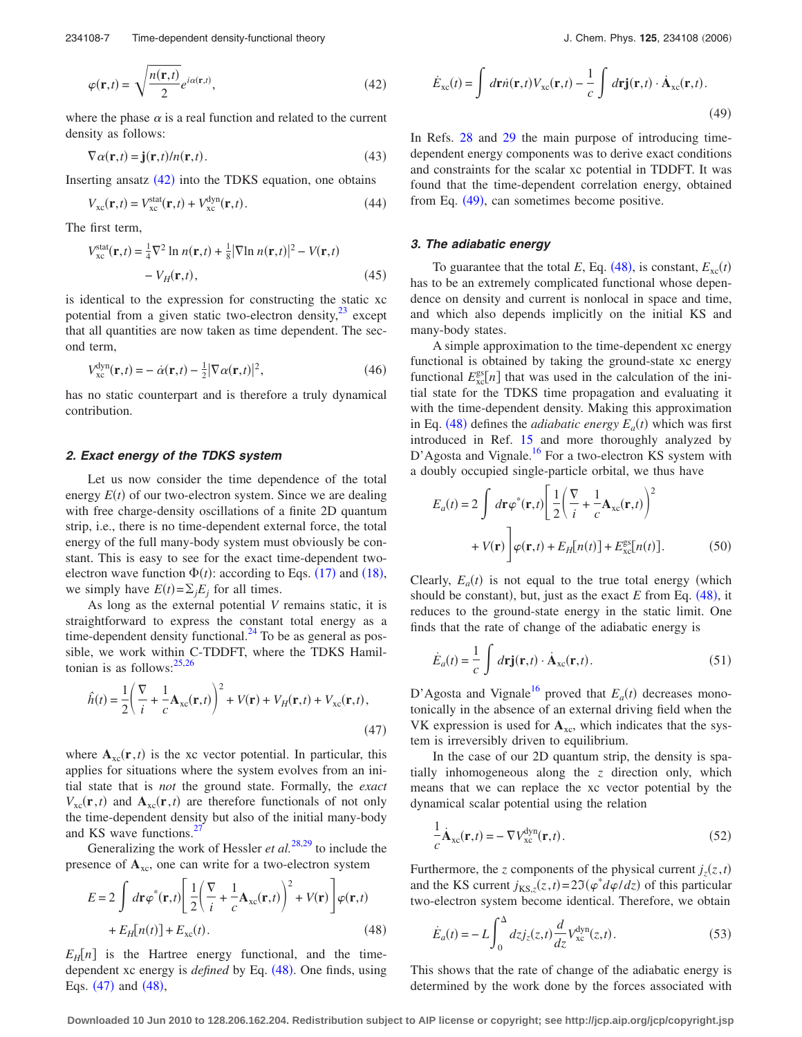<span id="page-6-0"></span>
$$
\varphi(\mathbf{r},t) = \sqrt{\frac{n(\mathbf{r},t)}{2}} e^{i\alpha(\mathbf{r},t)},
$$
\n(42)

where the phase  $\alpha$  is a real function and related to the current density as follows:

$$
\nabla \alpha(\mathbf{r},t) = \mathbf{j}(\mathbf{r},t)/n(\mathbf{r},t). \tag{43}
$$

Inserting ansatz ([42](#page-6-0)) into the TDKS equation, one obtains

$$
V_{\rm xc}(\mathbf{r},t) = V_{\rm xc}^{\rm stat}(\mathbf{r},t) + V_{\rm xc}^{\rm dyn}(\mathbf{r},t). \tag{44}
$$

The first term,

$$
V_{\text{xc}}^{\text{stat}}(\mathbf{r},t) = \frac{1}{4}\nabla^2 \ln n(\mathbf{r},t) + \frac{1}{8} |\nabla \ln n(\mathbf{r},t)|^2 - V(\mathbf{r},t)
$$

$$
-V_H(\mathbf{r},t), \qquad (45)
$$

is identical to the expression for constructing the static xc potential from a given static two-electron density, $23$  except that all quantities are now taken as time dependent. The second term,

$$
V_{\text{xc}}^{\text{dyn}}(\mathbf{r},t) = -\dot{\alpha}(\mathbf{r},t) - \frac{1}{2} |\nabla \alpha(\mathbf{r},t)|^2, \tag{46}
$$

has no static counterpart and is therefore a truly dynamical contribution.

#### *2. Exact energy of the TDKS system*

Let us now consider the time dependence of the total energy  $E(t)$  of our two-electron system. Since we are dealing with free charge-density oscillations of a finite 2D quantum strip, i.e., there is no time-dependent external force, the total energy of the full many-body system must obviously be constant. This is easy to see for the exact time-dependent twoelectron wave function  $\Phi(t)$ : according to Eqs. ([17](#page-2-4)) and ([18](#page-2-5)), we simply have  $E(t) = \sum_j E_j$  for all times.

As long as the external potential *V* remains static, it is straightforward to express the constant total energy as a time-dependent density functional. $^{24}$  To be as general as possible, we work within C-TDDFT, where the TDKS Hamiltonian is as follows: $25,26$  $25,26$ 

<span id="page-6-2"></span>
$$
\hat{h}(t) = \frac{1}{2} \left( \frac{\nabla}{i} + \frac{1}{c} \mathbf{A}_{\text{xc}}(\mathbf{r}, t) \right)^2 + V(\mathbf{r}) + V_H(\mathbf{r}, t) + V_{\text{xc}}(\mathbf{r}, t),
$$
\n(47)

where  $\mathbf{A}_{\text{xc}}(\mathbf{r},t)$  is the xc vector potential. In particular, this applies for situations where the system evolves from an initial state that is *not* the ground state. Formally, the *exact*  $V_{\text{xc}}(\mathbf{r},t)$  and  $\mathbf{A}_{\text{xc}}(\mathbf{r},t)$  are therefore functionals of not only the time-dependent density but also of the initial many-body and KS wave functions.<sup>2</sup>

Generalizing the work of Hessler *et al.*[28,](#page-9-25)[29](#page-9-26) to include the presence of  $A_{xc}$ , one can write for a two-electron system

<span id="page-6-1"></span>
$$
E = 2 \int d\mathbf{r} \varphi^*(\mathbf{r}, t) \left[ \frac{1}{2} \left( \frac{\nabla}{i} + \frac{1}{c} \mathbf{A}_{xc}(\mathbf{r}, t) \right)^2 + V(\mathbf{r}) \right] \varphi(\mathbf{r}, t)
$$

$$
+ E_H[n(t)] + E_{xc}(t).
$$
(48)

 $E_H[n]$  is the Hartree energy functional, and the timedependent xc energy is *defined* by Eq. ([48](#page-6-1)). One finds, using Eqs.  $(47)$  $(47)$  $(47)$  and  $(48)$  $(48)$  $(48)$ ,

<span id="page-6-3"></span>
$$
\dot{E}_{\text{xc}}(t) = \int d\mathbf{r} \dot{n}(\mathbf{r},t) V_{\text{xc}}(\mathbf{r},t) - \frac{1}{c} \int d\mathbf{r} \mathbf{j}(\mathbf{r},t) \cdot \dot{\mathbf{A}}_{\text{xc}}(\mathbf{r},t). \tag{49}
$$

In Refs. [28](#page-9-25) and [29](#page-9-26) the main purpose of introducing timedependent energy components was to derive exact conditions and constraints for the scalar xc potential in TDDFT. It was found that the time-dependent correlation energy, obtained from Eq. ([49](#page-6-3)), can sometimes become positive.

## *3. The adiabatic energy*

To guarantee that the total  $E$ , Eq. ([48](#page-6-1)), is constant,  $E_{\text{xc}}(t)$ has to be an extremely complicated functional whose dependence on density and current is nonlocal in space and time, and which also depends implicitly on the initial KS and many-body states.

A simple approximation to the time-dependent xc energy functional is obtained by taking the ground-state xc energy functional  $E_{\text{xc}}^{\text{gs}}[n]$  that was used in the calculation of the initial state for the TDKS time propagation and evaluating it with the time-dependent density. Making this approximation in Eq. ([48](#page-6-1)) defines the *adiabatic energy*  $E_a(t)$  which was first introduced in Ref. [15](#page-9-12) and more thoroughly analyzed by D'Agosta and Vignale.<sup>16</sup> For a two-electron KS system with a doubly occupied single-particle orbital, we thus have

<span id="page-6-4"></span>
$$
E_a(t) = 2 \int d\mathbf{r} \varphi^*(\mathbf{r}, t) \left[ \frac{1}{2} \left( \frac{\nabla}{i} + \frac{1}{c} \mathbf{A}_{\text{xc}}(\mathbf{r}, t) \right)^2 + V(\mathbf{r}) \right] \varphi(\mathbf{r}, t) + E_H[n(t)] + E_{\text{xc}}^{\text{gs}}[n(t)]. \tag{50}
$$

Clearly,  $E_a(t)$  is not equal to the true total energy (which should be constant), but, just as the exact  $E$  from Eq.  $(48)$  $(48)$  $(48)$ , it reduces to the ground-state energy in the static limit. One finds that the rate of change of the adiabatic energy is

$$
\dot{E}_a(t) = \frac{1}{c} \int d\mathbf{r} \mathbf{j}(\mathbf{r},t) \cdot \dot{\mathbf{A}}_{\text{xc}}(\mathbf{r},t).
$$
 (51)

D'Agosta and Vignale<sup>16</sup> proved that  $E_a(t)$  decreases monotonically in the absence of an external driving field when the VK expression is used for  $A_{xc}$ , which indicates that the system is irreversibly driven to equilibrium.

In the case of our 2D quantum strip, the density is spatially inhomogeneous along the *z* direction only, which means that we can replace the xc vector potential by the dynamical scalar potential using the relation

$$
\frac{1}{c}\dot{\mathbf{A}}_{\text{xc}}(\mathbf{r},t) = -\nabla V_{\text{xc}}^{\text{dyn}}(\mathbf{r},t).
$$
\n(52)

Furthermore, the *z* components of the physical current  $j_z(z,t)$ and the KS current  $j_{KS,z}(z,t) = 2\mathfrak{I}(\varphi^* d\varphi/dz)$  of this particular two-electron system become identical. Therefore, we obtain

<span id="page-6-5"></span>
$$
\dot{E}_a(t) = -L \int_0^{\Delta} dz j_z(z,t) \frac{d}{dz} V_{\text{xc}}^{\text{dyn}}(z,t). \tag{53}
$$

This shows that the rate of change of the adiabatic energy is determined by the work done by the forces associated with

**Downloaded 10 Jun 2010 to 128.206.162.204. Redistribution subject to AIP license or copyright; see http://jcp.aip.org/jcp/copyright.jsp**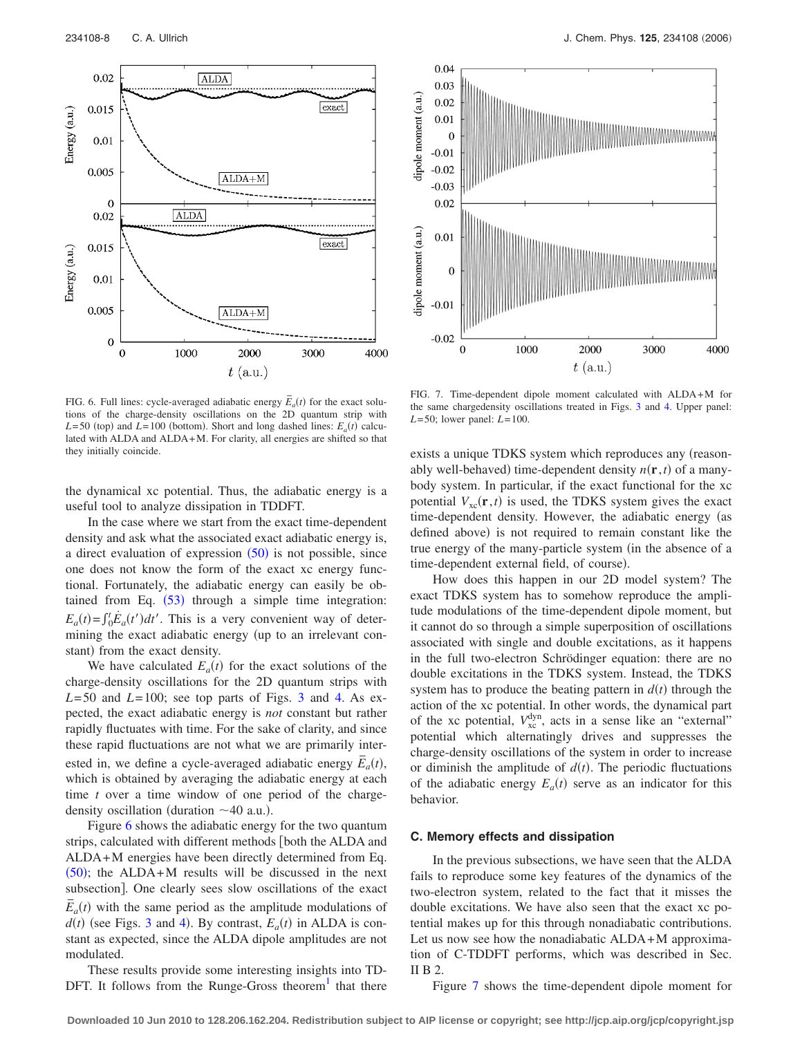<span id="page-7-0"></span>

FIG. 6. Full lines: cycle-averaged adiabatic energy  $\bar{E}_a(t)$  for the exact solutions of the charge-density oscillations on the 2D quantum strip with  $L = 50$  (top) and  $L = 100$  (bottom). Short and long dashed lines:  $E_a(t)$  calculated with ALDA and ALDA+M. For clarity, all energies are shifted so that they initially coincide.

the dynamical xc potential. Thus, the adiabatic energy is a useful tool to analyze dissipation in TDDFT.

In the case where we start from the exact time-dependent density and ask what the associated exact adiabatic energy is, a direct evaluation of expression  $(50)$  $(50)$  $(50)$  is not possible, since one does not know the form of the exact xc energy functional. Fortunately, the adiabatic energy can easily be obtained from Eq.  $(53)$  $(53)$  $(53)$  through a simple time integration:  $E_a(t) = \int_0^t \dot{E}_a(t')dt'$ . This is a very convenient way of determining the exact adiabatic energy (up to an irrelevant constant) from the exact density.

We have calculated  $E_a(t)$  for the exact solutions of the charge-density oscillations for the 2D quantum strips with  $L=50$  and  $L=100$ ; see top parts of Figs. [3](#page-4-0) and [4.](#page-4-1) As expected, the exact adiabatic energy is *not* constant but rather rapidly fluctuates with time. For the sake of clarity, and since these rapid fluctuations are not what we are primarily interested in, we define a cycle-averaged adiabatic energy  $\overline{E}_a(t)$ , which is obtained by averaging the adiabatic energy at each time *t* over a time window of one period of the chargedensity oscillation (duration  $\sim$  40 a.u.).

Figure [6](#page-7-0) shows the adiabatic energy for the two quantum strips, calculated with different methods [both the ALDA and ALDA+M energies have been directly determined from Eq.  $(50)$  $(50)$  $(50)$ ; the ALDA+M results will be discussed in the next subsection]. One clearly sees slow oscillations of the exact  $\overline{E}_a(t)$  with the same period as the amplitude modulations of  $d(t)$  (see Figs. [3](#page-4-0) and [4](#page-4-1)). By contrast,  $E_a(t)$  in ALDA is constant as expected, since the ALDA dipole amplitudes are not modulated.

These results provide some interesting insights into TD-DFT. It follows from the Runge-Gross theorem $<sup>1</sup>$  that there</sup>

<span id="page-7-1"></span>

FIG. 7. Time-dependent dipole moment calculated with ALDA+M for the same chargedensity oscillations treated in Figs. [3](#page-4-0) and [4.](#page-4-1) Upper panel: *L*= 50; lower panel: *L*= 100.

exists a unique TDKS system which reproduces any (reasonably well-behaved) time-dependent density  $n(\mathbf{r},t)$  of a manybody system. In particular, if the exact functional for the xc potential  $V_{\text{xc}}(\mathbf{r},t)$  is used, the TDKS system gives the exact time-dependent density. However, the adiabatic energy (as defined above) is not required to remain constant like the true energy of the many-particle system (in the absence of a time-dependent external field, of course).

How does this happen in our 2D model system? The exact TDKS system has to somehow reproduce the amplitude modulations of the time-dependent dipole moment, but it cannot do so through a simple superposition of oscillations associated with single and double excitations, as it happens in the full two-electron Schrödinger equation: there are no double excitations in the TDKS system. Instead, the TDKS system has to produce the beating pattern in  $d(t)$  through the action of the xc potential. In other words, the dynamical part of the xc potential,  $V_{\text{xc}}^{\text{dyn}}$ , acts in a sense like an "external" potential which alternatingly drives and suppresses the charge-density oscillations of the system in order to increase or diminish the amplitude of  $d(t)$ . The periodic fluctuations of the adiabatic energy  $E_a(t)$  serve as an indicator for this behavior.

## **C. Memory effects and dissipation**

In the previous subsections, we have seen that the ALDA fails to reproduce some key features of the dynamics of the two-electron system, related to the fact that it misses the double excitations. We have also seen that the exact xc potential makes up for this through nonadiabatic contributions. Let us now see how the nonadiabatic ALDA+M approximation of C-TDDFT performs, which was described in Sec. II B 2.

Figure [7](#page-7-1) shows the time-dependent dipole moment for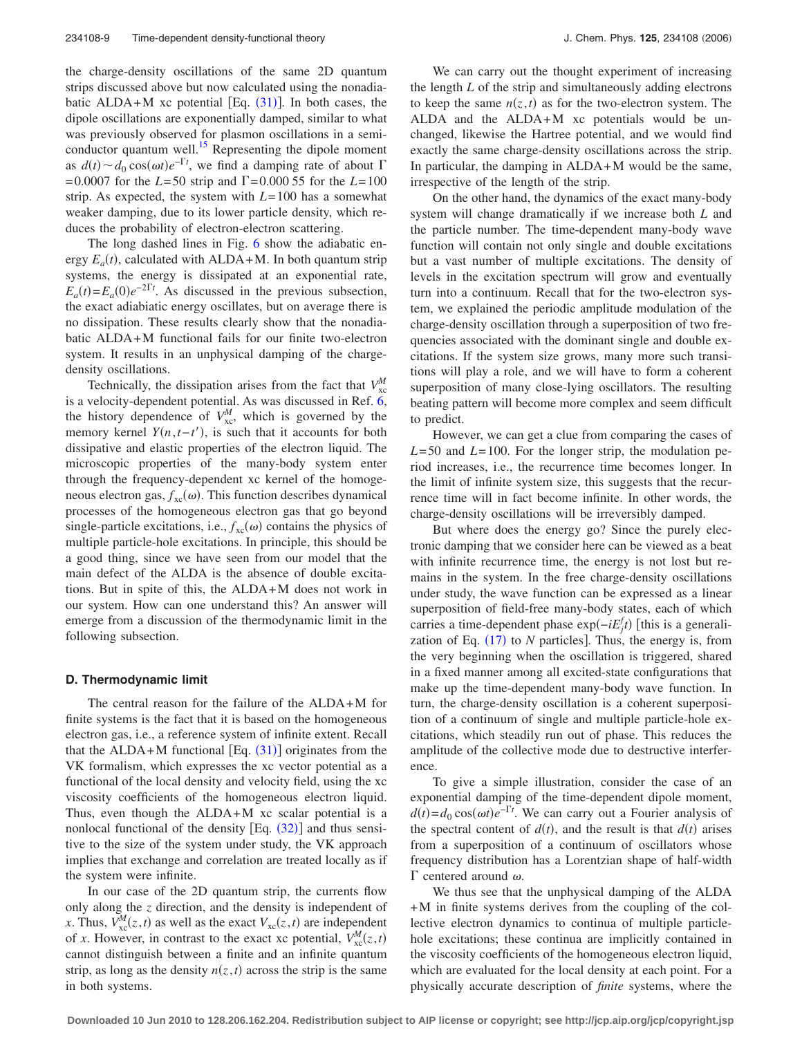the charge-density oscillations of the same 2D quantum strips discussed above but now calculated using the nonadiabatic ALDA+M xc potential [Eq.  $(31)$  $(31)$  $(31)$ ]. In both cases, the dipole oscillations are exponentially damped, similar to what was previously observed for plasmon oscillations in a semiconductor quantum well. $^{15}$  Representing the dipole moment as  $d(t) \sim d_0 \cos(\omega t) e^{-\Gamma t}$ , we find a damping rate of about  $\Gamma$  $= 0.0007$  for the *L*=50 strip and  $\Gamma = 0.00055$  for the *L*=100 strip. As expected, the system with *L*= 100 has a somewhat weaker damping, due to its lower particle density, which reduces the probability of electron-electron scattering.

The long dashed lines in Fig. [6](#page-7-0) show the adiabatic energy  $E_a(t)$ , calculated with ALDA+M. In both quantum strip systems, the energy is dissipated at an exponential rate,  $E_a(t) = E_a(0)e^{-2\Gamma t}$ . As discussed in the previous subsection, the exact adiabiatic energy oscillates, but on average there is no dissipation. These results clearly show that the nonadiabatic ALDA+M functional fails for our finite two-electron system. It results in an unphysical damping of the chargedensity oscillations.

Technically, the dissipation arises from the fact that  $V_{\text{xc}}^{M}$ is a velocity-dependent potential. As was discussed in Ref. [6,](#page-9-5) the history dependence of  $V_{\text{xc}}^M$ , which is governed by the memory kernel  $Y(n, t-t')$ , is such that it accounts for both dissipative and elastic properties of the electron liquid. The microscopic properties of the many-body system enter through the frequency-dependent xc kernel of the homogeneous electron gas,  $f_{\text{xc}}(\omega)$ . This function describes dynamical processes of the homogeneous electron gas that go beyond single-particle excitations, i.e.,  $f_{\text{xc}}(\omega)$  contains the physics of multiple particle-hole excitations. In principle, this should be a good thing, since we have seen from our model that the main defect of the ALDA is the absence of double excitations. But in spite of this, the ALDA+M does not work in our system. How can one understand this? An answer will emerge from a discussion of the thermodynamic limit in the following subsection.

#### **D. Thermodynamic limit**

The central reason for the failure of the ALDA+M for finite systems is the fact that it is based on the homogeneous electron gas, i.e., a reference system of infinite extent. Recall that the ALDA+M functional  $[Eq. (31)]$  $[Eq. (31)]$  $[Eq. (31)]$  originates from the VK formalism, which expresses the xc vector potential as a functional of the local density and velocity field, using the xc viscosity coefficients of the homogeneous electron liquid. Thus, even though the ALDA+M xc scalar potential is a nonlocal functional of the density  $[Eq. (32)]$  $[Eq. (32)]$  $[Eq. (32)]$  and thus sensitive to the size of the system under study, the VK approach implies that exchange and correlation are treated locally as if the system were infinite.

In our case of the 2D quantum strip, the currents flow only along the *z* direction, and the density is independent of *x*. Thus,  $V_{\text{xc}}^{M}(z, t)$  as well as the exact  $V_{\text{xc}}(z, t)$  are independent of *x*. However, in contrast to the exact xc potential,  $V_{\text{xc}}^{M}(z, t)$ cannot distinguish between a finite and an infinite quantum strip, as long as the density  $n(z, t)$  across the strip is the same in both systems.

We can carry out the thought experiment of increasing the length *L* of the strip and simultaneously adding electrons to keep the same  $n(z, t)$  as for the two-electron system. The ALDA and the ALDA+M xc potentials would be unchanged, likewise the Hartree potential, and we would find exactly the same charge-density oscillations across the strip. In particular, the damping in ALDA+M would be the same, irrespective of the length of the strip.

On the other hand, the dynamics of the exact many-body system will change dramatically if we increase both *L* and the particle number. The time-dependent many-body wave function will contain not only single and double excitations but a vast number of multiple excitations. The density of levels in the excitation spectrum will grow and eventually turn into a continuum. Recall that for the two-electron system, we explained the periodic amplitude modulation of the charge-density oscillation through a superposition of two frequencies associated with the dominant single and double excitations. If the system size grows, many more such transitions will play a role, and we will have to form a coherent superposition of many close-lying oscillators. The resulting beating pattern will become more complex and seem difficult to predict.

However, we can get a clue from comparing the cases of  $L = 50$  and  $L = 100$ . For the longer strip, the modulation period increases, i.e., the recurrence time becomes longer. In the limit of infinite system size, this suggests that the recurrence time will in fact become infinite. In other words, the charge-density oscillations will be irreversibly damped.

But where does the energy go? Since the purely electronic damping that we consider here can be viewed as a beat with infinite recurrence time, the energy is not lost but remains in the system. In the free charge-density oscillations under study, the wave function can be expressed as a linear superposition of field-free many-body states, each of which carries a time-dependent phase exp( $-iE_j^f$ ) [this is a generalization of Eq.  $(17)$  $(17)$  $(17)$  to *N* particles]. Thus, the energy is, from the very beginning when the oscillation is triggered, shared in a fixed manner among all excited-state configurations that make up the time-dependent many-body wave function. In turn, the charge-density oscillation is a coherent superposition of a continuum of single and multiple particle-hole excitations, which steadily run out of phase. This reduces the amplitude of the collective mode due to destructive interference.

To give a simple illustration, consider the case of an exponential damping of the time-dependent dipole moment,  $d(t) = d_0 \cos(\omega t) e^{-\Gamma t}$ . We can carry out a Fourier analysis of the spectral content of  $d(t)$ , and the result is that  $d(t)$  arises from a superposition of a continuum of oscillators whose frequency distribution has a Lorentzian shape of half-width  $\Gamma$  centered around  $\omega$ .

We thus see that the unphysical damping of the ALDA +M in finite systems derives from the coupling of the collective electron dynamics to continua of multiple particlehole excitations; these continua are implicitly contained in the viscosity coefficients of the homogeneous electron liquid, which are evaluated for the local density at each point. For a physically accurate description of *finite* systems, where the